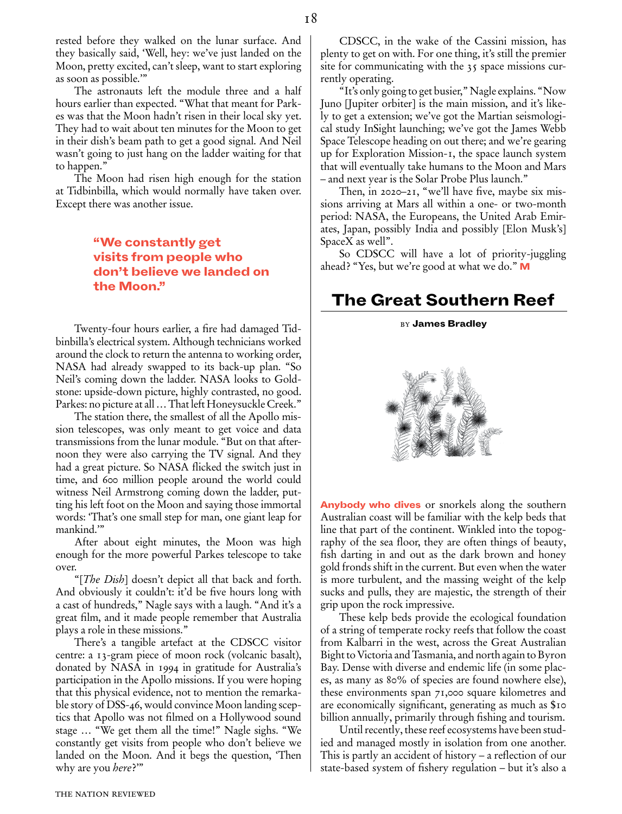The astronauts left the module three and a half hours earlier than expected. "What that meant for Parkes was that the Moon hadn't risen in their local sky yet. They had to wait about ten minutes for the Moon to get in their dish's beam path to get a good signal. And Neil wasn't going to just hang on the ladder waiting for that to happen."

The Moon had risen high enough for the station at Tidbinbilla, which would normally have taken over. Except there was another issue.

## "We constantly get visits from people who don't believe we landed on the Moon."

Twenty-four hours earlier, a fire had damaged Tidbinbilla's electrical system. Although technicians worked around the clock to return the antenna to working order, NASA had already swapped to its back-up plan. "So Neil's coming down the ladder. NASA looks to Goldstone: upside-down picture, highly contrasted, no good. Parkes: no picture at all … That left Honeysuckle Creek."

The station there, the smallest of all the Apollo mission telescopes, was only meant to get voice and data transmissions from the lunar module. "But on that afternoon they were also carrying the TV signal. And they had a great picture. So NASA flicked the switch just in time, and 600 million people around the world could witness Neil Armstrong coming down the ladder, putting his left foot on the Moon and saying those immortal words: 'That's one small step for man, one giant leap for mankind.'"

After about eight minutes, the Moon was high enough for the more powerful Parkes telescope to take over.

"[*The Dish*] doesn't depict all that back and forth. And obviously it couldn't: it'd be five hours long with a cast of hundreds," Nagle says with a laugh. "And it's a great film, and it made people remember that Australia plays a role in these missions."

There's a tangible artefact at the CDSCC visitor centre: a 13-gram piece of moon rock (volcanic basalt), donated by NASA in 1994 in gratitude for Australia's participation in the Apollo missions. If you were hoping that this physical evidence, not to mention the remarkable story of DSS-46, would convince Moon landing sceptics that Apollo was not filmed on a Hollywood sound stage … "We get them all the time!" Nagle sighs. "We constantly get visits from people who don't believe we landed on the Moon. And it begs the question, 'Then why are you *here*?'"

CDSCC, in the wake of the Cassini mission, has plenty to get on with. For one thing, it's still the premier site for communicating with the 35 space missions currently operating.

"It's only going to get busier," Nagle explains. "Now Juno [Jupiter orbiter] is the main mission, and it's likely to get a extension; we've got the Martian seismological study InSight launching; we've got the James Webb Space Telescope heading on out there; and we're gearing up for Exploration Mission-1, the space launch system that will eventually take humans to the Moon and Mars – and next year is the Solar Probe Plus launch."

Then, in 2020–21, "we'll have five, maybe six missions arriving at Mars all within a one- or two-month period: NASA, the Europeans, the United Arab Emirates, Japan, possibly India and possibly [Elon Musk's] SpaceX as well".

So CDSCC will have a lot of priority-juggling ahead? "Yes, but we're good at what we do." M

# The Great Southern Reef

#### **BY James Bradley**



Anybody who dives or snorkels along the southern Australian coast will be familiar with the kelp beds that line that part of the continent. Winkled into the topography of the sea floor, they are often things of beauty, fish darting in and out as the dark brown and honey gold fronds shift in the current. But even when the water is more turbulent, and the massing weight of the kelp sucks and pulls, they are majestic, the strength of their grip upon the rock impressive.

These kelp beds provide the ecological foundation of a string of temperate rocky reefs that follow the coast from Kalbarri in the west, across the Great Australian Bight to Victoria and Tasmania, and north again to Byron Bay. Dense with diverse and endemic life (in some places, as many as 80% of species are found nowhere else), these environments span 71,000 square kilometres and are economically significant, generating as much as \$10 billion annually, primarily through fishing and tourism.

Until recently, these reef ecosystems have been studied and managed mostly in isolation from one another. This is partly an accident of history – a reflection of our state-based system of fishery regulation – but it's also a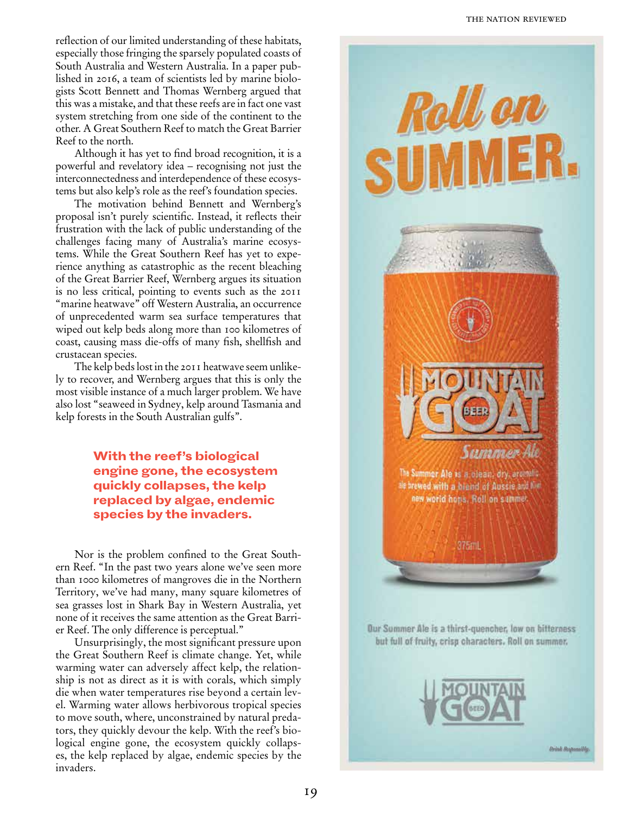reflection of our limited understanding of these habitats, especially those fringing the sparsely populated coasts of South Australia and Western Australia. In a paper pub lished in 2016, a team of scientists led by marine biolo gists Scott Bennett and Thomas Wernberg argued that this was a mistake, and that these reefs are in fact one vast system stretching from one side of the continent to the other. A Great Southern Reef to match the Great Barrier Reef to the north.

Although it has yet to find broad recognition, it is a powerful and revelatory idea – recognising not just the interconnectedness and interdependence of these ecosys tems but also kelp's role as the reef's foundation species.

The motivation behind Bennett and Wernberg's proposal isn't purely scientific. Instead, it reflects their frustration with the lack of public understanding of the challenges facing many of Australia's marine ecosys tems. While the Great Southern Reef has yet to expe rience anything as catastrophic as the recent bleaching of the Great Barrier Reef, Wernberg argues its situation is no less critical, pointing to events such as the 2011 "marine heatwave" off Western Australia, an occurrence of unprecedented warm sea surface temperatures that wiped out kelp beds along more than 100 kilometres of coast, causing mass die-offs of many fish, shellfish and crustacean species.

The kelp beds lost in the 2011 heatwave seem unlike ly to recover, and Wernberg argues that this is only the most visible instance of a much larger problem. We have also lost "seaweed in Sydney, kelp around Tasmania and kelp forests in the South Australian gulfs".

## With the reef's biological engine gone, the ecosystem quickly collapses, the kelp replaced by algae, endemic species by the invaders.

Nor is the problem confined to the Great South ern Reef. "In the past two years alone we've seen more than 1000 kilometres of mangroves die in the Northern Territory, we've had many, many square kilometres of sea grasses lost in Shark Bay in Western Australia, yet none of it receives the same attention as the Great Barri er Reef. The only difference is perceptual."

Unsurprisingly, the most significant pressure upon the Great Southern Reef is climate change. Yet, while warming water can adversely affect kelp, the relation ship is not as direct as it is with corals, which simply die when water temperatures rise beyond a certain lev el. Warming water allows herbivorous tropical species to move south, where, unconstrained by natural preda tors, they quickly devour the kelp. With the reef's bio logical engine gone, the ecosystem quickly collaps es, the kelp replaced by algae, endemic species by the invaders.